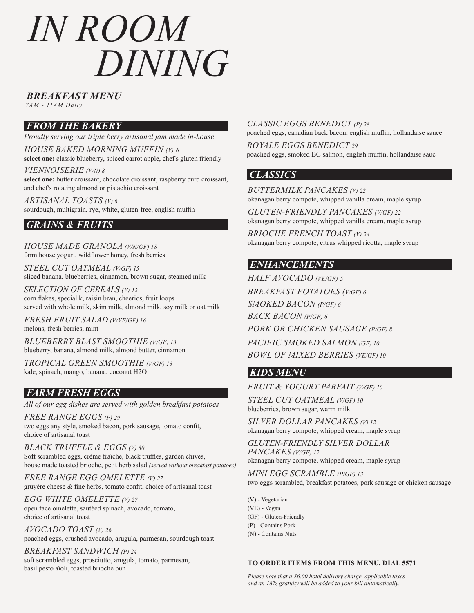# *BREAKFAST MENU*

*7AM - 11AM Daily*

# *FROM THE BAKERY*

*Proudly serving our triple berry artisanal jam made in-house*

*HOUSE BAKED MORNING MUFFIN (V) 6* **select one:** classic blueberry, spiced carrot apple, chef's gluten friendly

*VIENNOISERIE (V/N) 8* **select one:** butter croissant, chocolate croissant, raspberry curd croissant, and chef's rotating almond or pistachio croissant

*ARTISANAL TOASTS (V) 6* sourdough, multigrain, rye, white, gluten-free, english muffin

# *GRAINS & FRUITS*

*HOUSE MADE GRANOLA (V/N/GF) 18* farm house yogurt, wildflower honey, fresh berries

*STEEL CUT OATMEAL (V/GF) 15* sliced banana, blueberries, cinnamon, brown sugar, steamed milk

*SELECTION OF CEREALS (V) 12* corn flakes, special k, raisin bran, cheerios, fruit loops served with whole milk, skim milk, almond milk, soy milk or oat milk

*FRESH FRUIT SALAD (V/VE/GF) 16* melons, fresh berries, mint

*BLUEBERRY BLAST SMOOTHIE (V/GF) 13*  blueberry, banana, almond milk, almond butter, cinnamon

*TROPICAL GREEN SMOOTHIE (V/GF) 13*  kale, spinach, mango, banana, coconut H2O

# *FARM FRESH EGGS*

*All of our egg dishes are served with golden breakfast potatoes*

*FREE RANGE EGGS (P) 29* two eggs any style, smoked bacon, pork sausage, tomato confit, choice of artisanal toast

*BLACK TRUFFLE & EGGS (V) 30* Soft scrambled eggs, crème fraîche, black truffles, garden chives, house made toasted brioche, petit herb salad *(served without breakfast potatoes)*

*FREE RANGE EGG OMELETTE (V) 27* gruyère cheese & fine herbs, tomato confit, choice of artisanal toast

*EGG WHITE OMELETTE (V) 27* open face omelette, sautéed spinach, avocado, tomato, choice of artisanal toast

*AVOCADO TOAST (V) 26* poached eggs, crushed avocado, arugula, parmesan, sourdough toast

*BREAKFAST SANDWICH (P) 24* soft scrambled eggs, prosciutto, arugula, tomato, parmesan, basil pesto aïoli, toasted brioche bun

### *CLASSIC EGGS BENEDICT (P) 28*

poached eggs, canadian back bacon, english muffin, hollandaise sauce

*ROYALE EGGS BENEDICT 29* poached eggs, smoked BC salmon, english muffin, hollandaise sauc

## *CLASSICS*

*BUTTERMILK PANCAKES (V) 22*

okanagan berry compote, whipped vanilla cream, maple syrup

*GLUTEN-FRIENDLY PANCAKES (V/GF) 22* okanagan berry compote, whipped vanilla cream, maple syrup

*BRIOCHE FRENCH TOAST (V) 24* okanagan berry compote, citrus whipped ricotta, maple syrup

# *ENHANCEMENTS*

*HALF AVOCADO (VE/GF) 5 BREAKFAST POTATOES (V/GF) 6 SMOKED BACON (P/GF) 6 BACK BACON (P/GF) 6 PORK OR CHICKEN SAUSAGE (P/GF) 8 PACIFIC SMOKED SALMON (GF) 10 BOWL OF MIXED BERRIES (VE/GF) 10*

# *KIDS MENU*

*FRUIT & YOGURT PARFAIT (V/GF) 10*

*STEEL CUT OATMEAL (V/GF) 10* blueberries, brown sugar, warm milk

*SILVER DOLLAR PANCAKES (V) 12* okanagan berry compote, whipped cream, maple syrup

*GLUTEN-FRIENDLY SILVER DOLLAR PANCAKES (V/GF) 12*  okanagan berry compote, whipped cream, maple syrup

*MINI EGG SCRAMBLE (P/GF) 13* two eggs scrambled, breakfast potatoes, pork sausage or chicken sausage

(V) - Vegetarian (VE) - Vegan (GF) - Gluten-Friendly (P) - Contains Pork (N) - Contains Nuts

#### **TO ORDER ITEMS FROM THIS MENU, DIAL 5571**

*Please note that a \$6.00 hotel delivery charge, applicable taxes and an 18% gratuity will be added to your bill automatically.*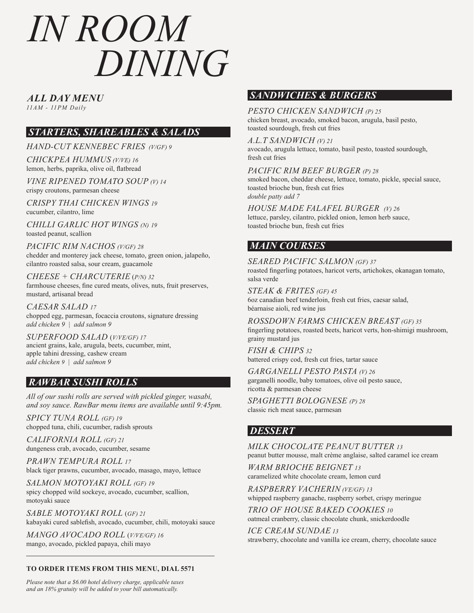*ALL DAY MENU*

*11AM - 11PM Daily*

# *STARTERS, SHAREABLES & SALADS*

*HAND-CUT KENNEBEC FRIES (V/GF) 9*

*CHICKPEA HUMMUS (V/VE) 16* lemon, herbs, paprika, olive oil, flatbread

*VINE RIPENED TOMATO SOUP (V) 14* crispy croutons, parmesan cheese

*CRISPY THAI CHICKEN WINGS 19* cucumber, cilantro, lime

*CHILLI GARLIC HOT WINGS (N) 19* toasted peanut, scallion

*PACIFIC RIM NACHOS (V/GF) 28* chedder and monterey jack cheese, tomato, green onion, jalapeño, cilantro roasted salsa, sour cream, guacamole

*CHEESE + CHARCUTERIE* (*P/N) 32* farmhouse cheeses, fine cured meats, olives, nuts, fruit preserves, mustard, artisanal bread

*CAESAR SALAD 17* chopped egg, parmesan, focaccia croutons, signature dressing *add chicken 9 | add salmon 9*

*SUPERFOOD SALAD* (*V/VE/GF) 17* ancient grains, kale, arugula, beets, cucumber, mint, apple tahini dressing, cashew cream *add chicken 9 | add salmon 9*

# *RAWBAR SUSHI ROLLS*

*All of our sushi rolls are served with pickled ginger, wasabi, and soy sauce. RawBar menu items are available until 9:45pm.*

*SPICY TUNA ROLL (GF) 19* chopped tuna, chili, cucumber, radish sprouts

*CALIFORNIA ROLL (GF) 21* dungeness crab, avocado, cucumber, sesame

*PRAWN TEMPURA ROLL 17* black tiger prawns, cucumber, avocado, masago, mayo, lettuce

*SALMON MOTOYAKI ROLL (GF) 19* spicy chopped wild sockeye, avocado, cucumber, scallion, motoyaki sauce

*SABLE MOTOYAKI ROLL* (*GF) 21* kabayaki cured sablefish, avocado, cucumber, chili, motoyaki sauce

*MANGO AVOCADO ROLL* (*V/VE/GF) 16* mango, avocado, pickled papaya, chili mayo

#### **TO ORDER ITEMS FROM THIS MENU, DIAL 5571**

*Please note that a \$6.00 hotel delivery charge, applicable taxes and an 18% gratuity will be added to your bill automatically.*

# *SANDWICHES & BURGERS*

#### *PESTO CHICKEN SANDWICH (P) 25*

chicken breast, avocado, smoked bacon, arugula, basil pesto, toasted sourdough, fresh cut fries

#### *A.L.T SANDWICH (V) 21*

avocado, arugula lettuce, tomato, basil pesto, toasted sourdough, fresh cut fries

#### *PACIFIC RIM BEEF BURGER (P) 28*

smoked bacon, cheddar cheese, lettuce, tomato, pickle, special sauce, toasted brioche bun, fresh cut fries *double patty add 7*

#### *HOUSE MADE FALAFEL BURGER (V) 26*

lettuce, parsley, cilantro, pickled onion, lemon herb sauce, toasted brioche bun, fresh cut fries

## *MAIN COURSES*

#### *SEARED PACIFIC SALMON (GF) 37*

roasted fingerling potatoes, haricot verts, artichokes, okanagan tomato, salsa verde

*STEAK & FRITES (GF) 45* 6oz canadian beef tenderloin, fresh cut fries, caesar salad, béarnaise aioli, red wine jus

*ROSSDOWN FARMS CHICKEN BREAST (GF) 35* fingerling potatoes, roasted beets, haricot verts, hon-shimigi mushroom, grainy mustard jus

*FISH & CHIPS 32* battered crispy cod, fresh cut fries, tartar sauce

*GARGANELLI PESTO PASTA (V) 26* garganelli noodle, baby tomatoes, olive oil pesto sauce, ricotta & parmesan cheese

*SPAGHETTI BOLOGNESE (P) 28* classic rich meat sauce, parmesan

# *DESSERT*

*MILK CHOCOLATE PEANUT BUTTER 13* peanut butter mousse, malt crème anglaise, salted caramel ice cream

*WARM BRIOCHE BEIGNET 13* caramelized white chocolate cream, lemon curd

*RASPBERRY VACHERIN (VE/GF) 13* whipped raspberry ganache, raspberry sorbet, crispy meringue

*TRIO OF HOUSE BAKED COOKIES 10* oatmeal cranberry, classic chocolate chunk, snickerdoodle

*ICE CREAM SUNDAE 13* strawberry, chocolate and vanilla ice cream, cherry, chocolate sauce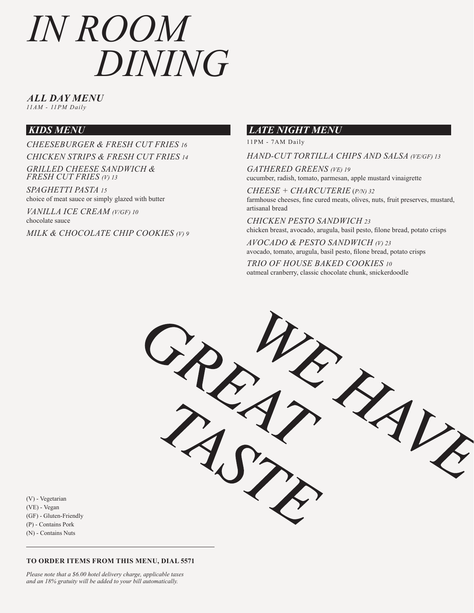*ALL DAY MENU*

*11AM - 11PM Daily*

## *KIDS MENU*

*CHEESEBURGER & FRESH CUT FRIES 16 CHICKEN STRIPS & FRESH CUT FRIES 14*

*GRILLED CHEESE SANDWICH & FRESH CUT FRIES (V) 13*

*SPAGHETTI PASTA 15* choice of meat sauce or simply glazed with butter

*VANILLA ICE CREAM (V/GF) 10* chocolate sauce

*MILK & CHOCOLATE CHIP COOKIES (V) 9*

### *LATE NIGHT MENU*

11PM - 7AM Daily

*HAND-CUT TORTILLA CHIPS AND SALSA (VE/GF) 13*

*GATHERED GREENS (VE) 19* cucumber, radish, tomato, parmesan, apple mustard vinaigrette

*CHEESE + CHARCUTERIE* (*P/N) 32* farmhouse cheeses, fine cured meats, olives, nuts, fruit preserves, mustard, artisanal bread

*CHICKEN PESTO SANDWICH 23* chicken breast, avocado, arugula, basil pesto, filone bread, potato crisps

*AVOCADO & PESTO SANDWICH (V) 23* avocado, tomato, arugula, basil pesto, filone bread, potato crisps *TRIO OF HOUSE BAKED COOKIES 10*

oatmeal cranberry, classic chocolate chunk, snickerdoodle



(V) - Vegetarian (VE) - Vegan (GF) - Gluten-Friendly (P) - Contains Pork (N) - Contains Nuts

#### **TO ORDER ITEMS FROM THIS MENU, DIAL 5571**

*Please note that a \$6.00 hotel delivery charge, applicable taxes and an 18% gratuity will be added to your bill automatically.*